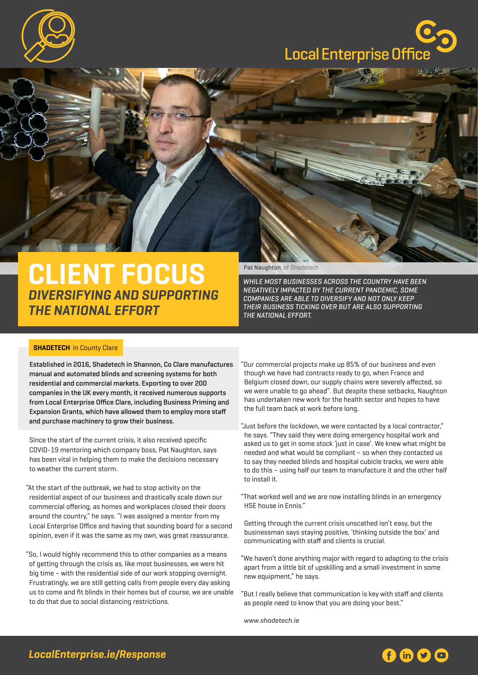

## **Local Enterprise Offic**



## **CLIENT FOCUS DIVERSIFYING AND SUPPORTING THE NATIONAL EFFORT**

Pat Naughton, of Shadetech

While most businesses across the country have been negatively impacted by the current pandemic, some companies are able to diversify and not only keep their business ticking over but are also supporting the national effort.

## **SHADETECH** in County Clare

Established in 2016, Shadetech in Shannon, Co Clare manufactures manual and automated blinds and screening systems for both residential and commercial markets. Exporting to over 200 companies in the UK every month, it received numerous supports from Local Enterprise Office Clare, including Business Priming and Expansion Grants, which have allowed them to employ more staff and purchase machinery to grow their business.

Since the start of the current crisis, it also received specific COVID-19 mentoring which company boss, Pat Naughton, says has been vital in helping them to make the decisions necessary to weather the current storm.

- "At the start of the outbreak, we had to stop activity on the residential aspect of our business and drastically scale down our commercial offering, as homes and workplaces closed their doors around the country," he says. "I was assigned a mentor from my Local Enterprise Office and having that sounding board for a second opinion, even if it was the same as my own, was great reassurance.
- "So, I would highly recommend this to other companies as a means of getting through the crisis as, like most businesses, we were hit big time – with the residential side of our work stopping overnight. Frustratingly, we are still getting calls from people every day asking us to come and fit blinds in their homes but of course, we are unable to do that due to social distancing restrictions.
- "Our commercial projects make up 85% of our business and even though we have had contracts ready to go, when France and Belgium closed down, our supply chains were severely affected, so we were unable to go ahead". But despite these setbacks, Naughton has undertaken new work for the health sector and hopes to have the full team back at work before long.
- "Just before the lockdown, we were contacted by a local contractor," he says. "They said they were doing emergency hospital work and asked us to get in some stock 'just in case'. We knew what might be needed and what would be compliant – so when they contacted us to say they needed blinds and hospital cubicle tracks, we were able to do this – using half our team to manufacture it and the other half to install it.
- "That worked well and we are now installing blinds in an emergency HSE house in Ennis."

Getting through the current crisis unscathed isn't easy, but the businessman says staying positive, 'thinking outside the box' and communicating with staff and clients is crucial.

- "We haven't done anything major with regard to adapting to the crisis apart from a little bit of upskilling and a small investment in some new equipment," he says.
- "But I really believe that communication is key with staff and clients as people need to know that you are doing your best."

[www.shadetech.ie](http://www.shadetech.ie)